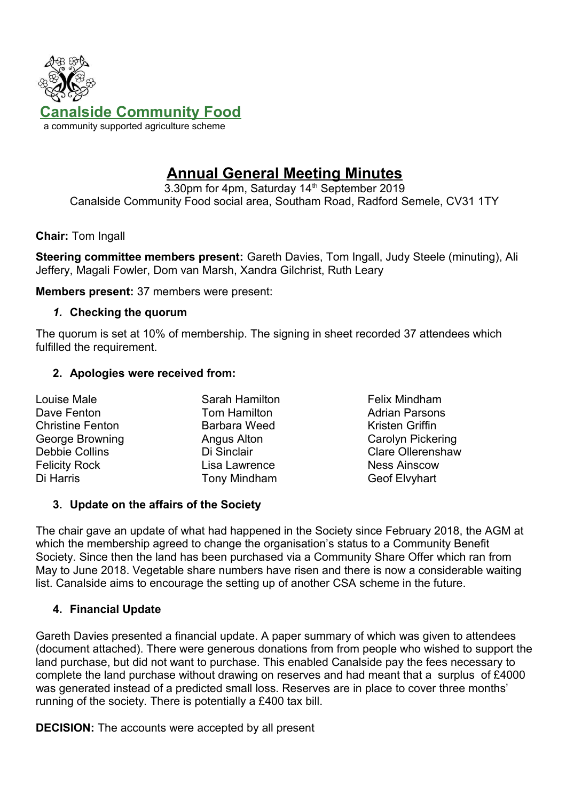

# **Annual General Meeting Minutes**

3.30pm for 4pm, Saturday 14<sup>th</sup> September 2019 Canalside Community Food social area, Southam Road, Radford Semele, CV31 1TY

**Chair:** Tom Ingall

**Steering committee members present:** Gareth Davies, Tom Ingall, Judy Steele (minuting), Ali Jeffery, Magali Fowler, Dom van Marsh, Xandra Gilchrist, Ruth Leary

**Members present:** 37 members were present:

# *1.* **Checking the quorum**

The quorum is set at 10% of membership. The signing in sheet recorded 37 attendees which fulfilled the requirement.

#### **2. Apologies were received from:**

| Louise Male             | Sarah Hamilton      |
|-------------------------|---------------------|
| Dave Fenton             | Tom Hamilton        |
| <b>Christine Fenton</b> | <b>Barbara Weed</b> |
| George Browning         | Angus Alton         |
| <b>Debbie Collins</b>   | Di Sinclair         |
| <b>Felicity Rock</b>    | Lisa Lawrence       |
| Di Harris               | <b>Tony Mindham</b> |

Felix Mindham Adrian Parsons Kristen Griffin Carolyn Pickering Clare Ollerenshaw Ness Ainscow Geof Elvyhart

# **3. Update on the affairs of the Society**

The chair gave an update of what had happened in the Society since February 2018, the AGM at which the membership agreed to change the organisation's status to a Community Benefit Society. Since then the land has been purchased via a Community Share Offer which ran from May to June 2018. Vegetable share numbers have risen and there is now a considerable waiting list. Canalside aims to encourage the setting up of another CSA scheme in the future.

# **4. Financial Update**

Gareth Davies presented a financial update. A paper summary of which was given to attendees (document attached). There were generous donations from from people who wished to support the land purchase, but did not want to purchase. This enabled Canalside pay the fees necessary to complete the land purchase without drawing on reserves and had meant that a surplus of £4000 was generated instead of a predicted small loss. Reserves are in place to cover three months' running of the society. There is potentially a £400 tax bill.

**DECISION:** The accounts were accepted by all present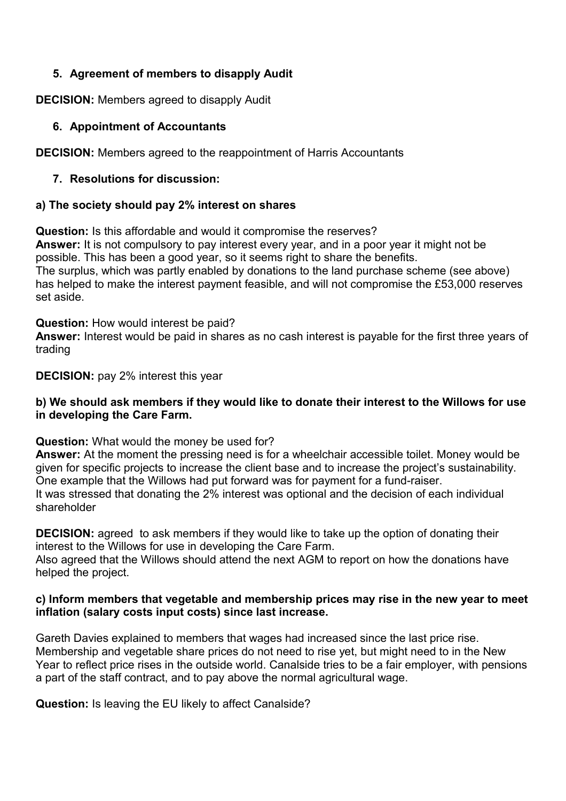# **5. Agreement of members to disapply Audit**

**DECISION:** Members agreed to disapply Audit

#### **6. Appointment of Accountants**

**DECISION:** Members agreed to the reappointment of Harris Accountants

#### **7. Resolutions for discussion:**

#### **a) The society should pay 2% interest on shares**

**Question:** Is this affordable and would it compromise the reserves? **Answer:** It is not compulsory to pay interest every year, and in a poor year it might not be possible. This has been a good year, so it seems right to share the benefits. The surplus, which was partly enabled by donations to the land purchase scheme (see above) has helped to make the interest payment feasible, and will not compromise the £53,000 reserves set aside.

**Question:** How would interest be paid?

**Answer:** Interest would be paid in shares as no cash interest is payable for the first three years of trading

**DECISION:** pay 2% interest this year

#### **b) We should ask members if they would like to donate their interest to the Willows for use in developing the Care Farm.**

**Question:** What would the money be used for?

**Answer:** At the moment the pressing need is for a wheelchair accessible toilet. Money would be given for specific projects to increase the client base and to increase the project's sustainability. One example that the Willows had put forward was for payment for a fund-raiser. It was stressed that donating the 2% interest was optional and the decision of each individual shareholder

**DECISION:** agreed to ask members if they would like to take up the option of donating their interest to the Willows for use in developing the Care Farm.

Also agreed that the Willows should attend the next AGM to report on how the donations have helped the project.

#### **c) Inform members that vegetable and membership prices may rise in the new year to meet inflation (salary costs input costs) since last increase.**

Gareth Davies explained to members that wages had increased since the last price rise. Membership and vegetable share prices do not need to rise yet, but might need to in the New Year to reflect price rises in the outside world. Canalside tries to be a fair employer, with pensions a part of the staff contract, and to pay above the normal agricultural wage.

**Question:** Is leaving the EU likely to affect Canalside?